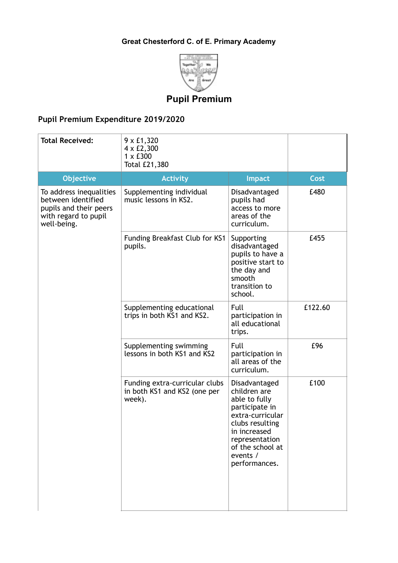## **Great Chesterford C. of E. Primary Academy**



## **Pupil Premium**

## **Pupil Premium Expenditure 2019/2020**

| <b>Total Received:</b>                                                                                         | 9 x £1,320<br>4 x £2,300<br>$1 \times £300$<br>Total £21,380             |                                                                                                                                                                                            |         |
|----------------------------------------------------------------------------------------------------------------|--------------------------------------------------------------------------|--------------------------------------------------------------------------------------------------------------------------------------------------------------------------------------------|---------|
| <b>Objective</b>                                                                                               | <b>Activity</b>                                                          | <b>Impact</b>                                                                                                                                                                              | Cost    |
| To address inequalities<br>between identified<br>pupils and their peers<br>with regard to pupil<br>well-being. | Supplementing individual<br>music lessons in KS2.                        | Disadvantaged<br>pupils had<br>access to more<br>areas of the<br>curriculum.                                                                                                               | £480    |
|                                                                                                                | Funding Breakfast Club for KS1<br>pupils.                                | Supporting<br>disadvantaged<br>pupils to have a<br>positive start to<br>the day and<br>smooth<br>transition to<br>school.                                                                  | £455    |
|                                                                                                                | Supplementing educational<br>trips in both KS1 and KS2.                  | Full<br>participation in<br>all educational<br>trips.                                                                                                                                      | £122.60 |
|                                                                                                                | Supplementing swimming<br>lessons in both KS1 and KS2                    | Full<br>participation in<br>all areas of the<br>curriculum.                                                                                                                                | £96     |
|                                                                                                                | Funding extra-curricular clubs<br>in both KS1 and KS2 (one per<br>week). | Disadvantaged<br>children are<br>able to fully<br>participate in<br>extra-curricular<br>clubs resulting<br>in increased<br>representation<br>of the school at<br>events /<br>performances. | £100    |